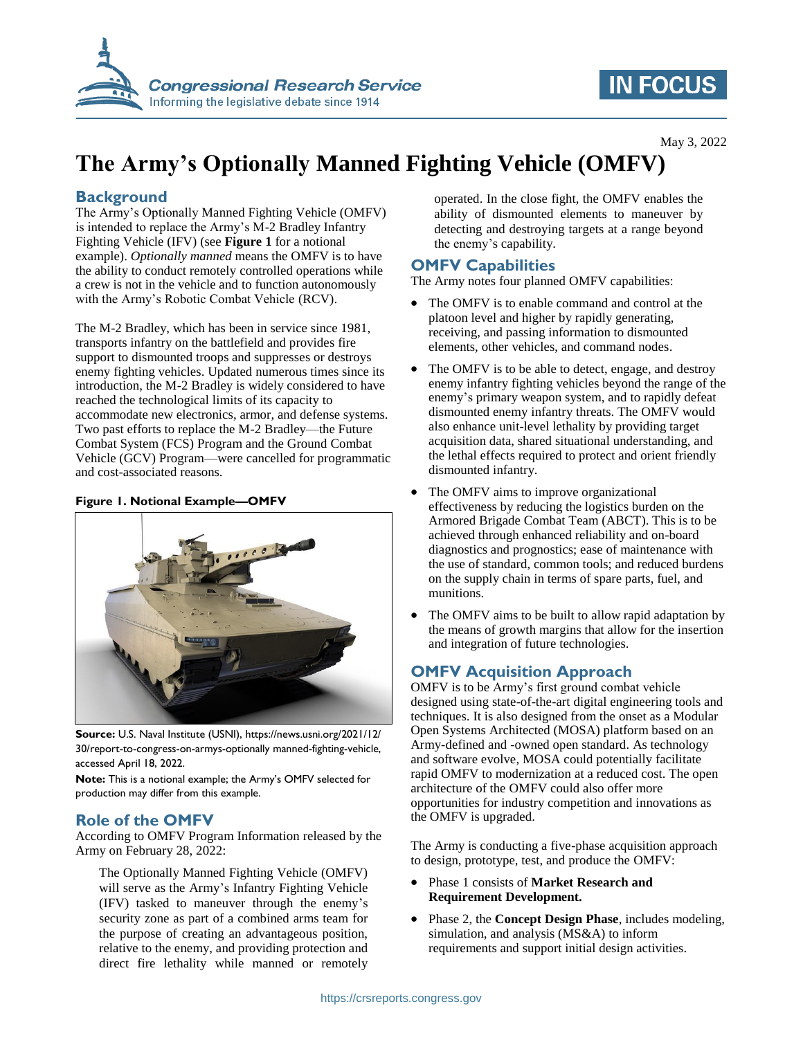

## **IN FOCUS**

May 3, 2022

# **The Army's Optionally Manned Fighting Vehicle (OMFV)**

## **Background**

The Army's Optionally Manned Fighting Vehicle (OMFV) is intended to replace the Army's M-2 Bradley Infantry Fighting Vehicle (IFV) (see **[Figure 1](#page-0-0)** for a notional example). *Optionally manned* means the OMFV is to have the ability to conduct remotely controlled operations while a crew is not in the vehicle and to function autonomously with the Army's Robotic Combat Vehicle (RCV).

The M-2 Bradley, which has been in service since 1981, transports infantry on the battlefield and provides fire support to dismounted troops and suppresses or destroys enemy fighting vehicles. Updated numerous times since its introduction, the M-2 Bradley is widely considered to have reached the technological limits of its capacity to accommodate new electronics, armor, and defense systems. Two past efforts to replace the M-2 Bradley—the Future Combat System (FCS) Program and the Ground Combat Vehicle (GCV) Program—were cancelled for programmatic and cost-associated reasons.

#### <span id="page-0-0"></span>**Figure 1. Notional Example—OMFV**



**Source:** U.S. Naval Institute (USNI), https://news.usni.org/2021/12/ 30/report-to-congress-on-armys-optionally manned-fighting-vehicle, accessed April 18, 2022.

**Note:** This is a notional example; the Army's OMFV selected for production may differ from this example.

#### **Role of the OMFV**

According to OMFV Program Information released by the Army on February 28, 2022:

The Optionally Manned Fighting Vehicle (OMFV) will serve as the Army's Infantry Fighting Vehicle (IFV) tasked to maneuver through the enemy's security zone as part of a combined arms team for the purpose of creating an advantageous position, relative to the enemy, and providing protection and direct fire lethality while manned or remotely operated. In the close fight, the OMFV enables the ability of dismounted elements to maneuver by detecting and destroying targets at a range beyond the enemy's capability.

## **OMFV Capabilities**

The Army notes four planned OMFV capabilities:

- The OMFV is to enable command and control at the platoon level and higher by rapidly generating, receiving, and passing information to dismounted elements, other vehicles, and command nodes.
- The OMFV is to be able to detect, engage, and destroy enemy infantry fighting vehicles beyond the range of the enemy's primary weapon system, and to rapidly defeat dismounted enemy infantry threats. The OMFV would also enhance unit-level lethality by providing target acquisition data, shared situational understanding, and the lethal effects required to protect and orient friendly dismounted infantry.
- The OMFV aims to improve organizational effectiveness by reducing the logistics burden on the Armored Brigade Combat Team (ABCT). This is to be achieved through enhanced reliability and on-board diagnostics and prognostics; ease of maintenance with the use of standard, common tools; and reduced burdens on the supply chain in terms of spare parts, fuel, and munitions.
- The OMFV aims to be built to allow rapid adaptation by the means of growth margins that allow for the insertion and integration of future technologies.

## **OMFV Acquisition Approach**

OMFV is to be Army's first ground combat vehicle designed using state-of-the-art digital engineering tools and techniques. It is also designed from the onset as a Modular Open Systems Architected (MOSA) platform based on an Army-defined and -owned open standard. As technology and software evolve, MOSA could potentially facilitate rapid OMFV to modernization at a reduced cost. The open architecture of the OMFV could also offer more opportunities for industry competition and innovations as the OMFV is upgraded.

The Army is conducting a five-phase acquisition approach to design, prototype, test, and produce the OMFV:

- Phase 1 consists of **Market Research and Requirement Development.**
- Phase 2, the **Concept Design Phase**, includes modeling, simulation, and analysis (MS&A) to inform requirements and support initial design activities.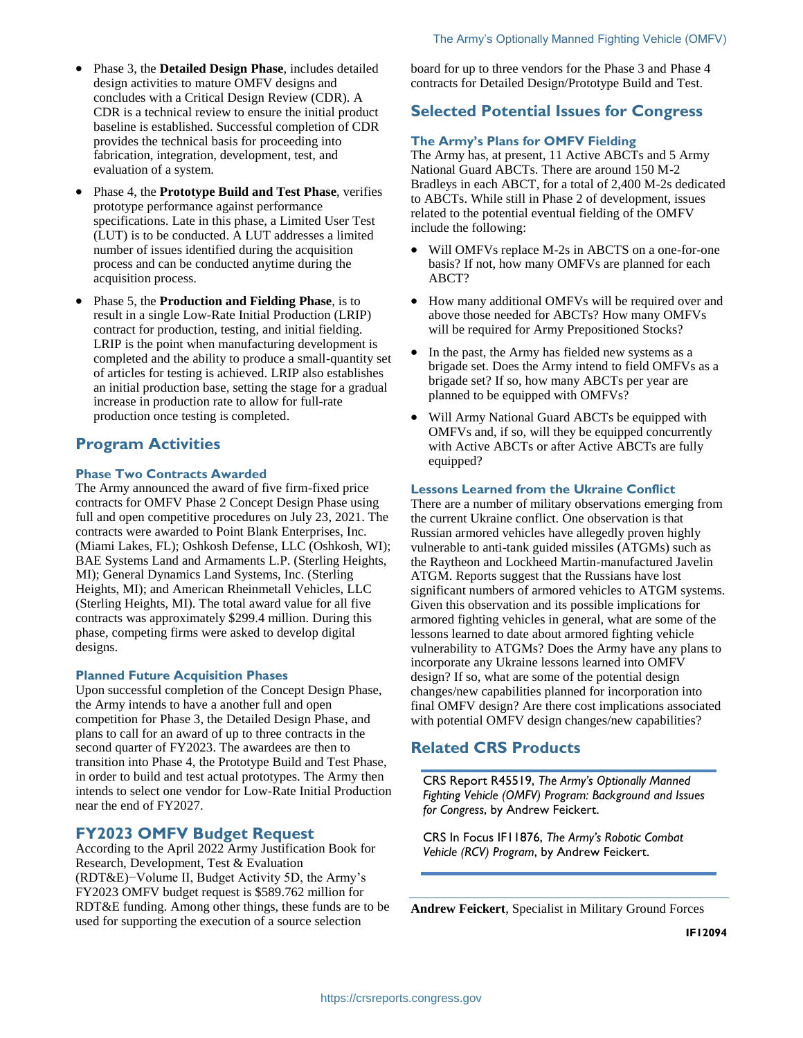- Phase 3, the **Detailed Design Phase**, includes detailed design activities to mature OMFV designs and concludes with a Critical Design Review (CDR). A CDR is a technical review to ensure the initial product baseline is established. Successful completion of CDR provides the technical basis for proceeding into fabrication, integration, development, test, and evaluation of a system.
- Phase 4, the **Prototype Build and Test Phase**, verifies prototype performance against performance specifications. Late in this phase, a Limited User Test (LUT) is to be conducted. A LUT addresses a limited number of issues identified during the acquisition process and can be conducted anytime during the acquisition process.
- Phase 5, the **Production and Fielding Phase**, is to result in a single Low-Rate Initial Production (LRIP) contract for production, testing, and initial fielding. LRIP is the point when manufacturing development is completed and the ability to produce a small-quantity set of articles for testing is achieved. LRIP also establishes an initial production base, setting the stage for a gradual increase in production rate to allow for full-rate production once testing is completed.

## **Program Activities**

#### **Phase Two Contracts Awarded**

The Army announced the award of five firm-fixed price contracts for OMFV Phase 2 Concept Design Phase using full and open competitive procedures on July 23, 2021. The contracts were awarded to Point Blank Enterprises, Inc. (Miami Lakes, FL); Oshkosh Defense, LLC (Oshkosh, WI); BAE Systems Land and Armaments L.P. (Sterling Heights, MI); General Dynamics Land Systems, Inc. (Sterling Heights, MI); and American Rheinmetall Vehicles, LLC (Sterling Heights, MI). The total award value for all five contracts was approximately \$299.4 million. During this phase, competing firms were asked to develop digital designs.

#### **Planned Future Acquisition Phases**

Upon successful completion of the Concept Design Phase, the Army intends to have a another full and open competition for Phase 3, the Detailed Design Phase, and plans to call for an award of up to three contracts in the second quarter of FY2023. The awardees are then to transition into Phase 4, the Prototype Build and Test Phase, in order to build and test actual prototypes. The Army then intends to select one vendor for Low-Rate Initial Production near the end of FY2027.

#### **FY2023 OMFV Budget Request**

According to the April 2022 Army Justification Book for Research, Development, Test & Evaluation (RDT&E)−Volume II, Budget Activity 5D, the Army's FY2023 OMFV budget request is \$589.762 million for RDT&E funding. Among other things, these funds are to be used for supporting the execution of a source selection

board for up to three vendors for the Phase 3 and Phase 4 contracts for Detailed Design/Prototype Build and Test.

## **Selected Potential Issues for Congress**

#### **The Army's Plans for OMFV Fielding**

The Army has, at present, 11 Active ABCTs and 5 Army National Guard ABCTs. There are around 150 M-2 Bradleys in each ABCT, for a total of 2,400 M-2s dedicated to ABCTs. While still in Phase 2 of development, issues related to the potential eventual fielding of the OMFV include the following:

- Will OMFVs replace M-2s in ABCTS on a one-for-one basis? If not, how many OMFVs are planned for each ABCT?
- How many additional OMFVs will be required over and above those needed for ABCTs? How many OMFVs will be required for Army Prepositioned Stocks?
- In the past, the Army has fielded new systems as a brigade set. Does the Army intend to field OMFVs as a brigade set? If so, how many ABCTs per year are planned to be equipped with OMFVs?
- Will Army National Guard ABCTs be equipped with OMFVs and, if so, will they be equipped concurrently with Active ABCTs or after Active ABCTs are fully equipped?

#### **Lessons Learned from the Ukraine Conflict**

There are a number of military observations emerging from the current Ukraine conflict. One observation is that Russian armored vehicles have allegedly proven highly vulnerable to anti-tank guided missiles (ATGMs) such as the Raytheon and Lockheed Martin-manufactured Javelin ATGM. Reports suggest that the Russians have lost significant numbers of armored vehicles to ATGM systems. Given this observation and its possible implications for armored fighting vehicles in general, what are some of the lessons learned to date about armored fighting vehicle vulnerability to ATGMs? Does the Army have any plans to incorporate any Ukraine lessons learned into OMFV design? If so, what are some of the potential design changes/new capabilities planned for incorporation into final OMFV design? Are there cost implications associated with potential OMFV design changes/new capabilities?

### **Related CRS Products**

CRS Report R45519, *The Army's Optionally Manned Fighting Vehicle (OMFV) Program: Background and Issues for Congress*, by Andrew Feickert.

CRS In Focus IF11876, *The Army's Robotic Combat Vehicle (RCV) Program*, by Andrew Feickert.

**Andrew Feickert**, Specialist in Military Ground Forces